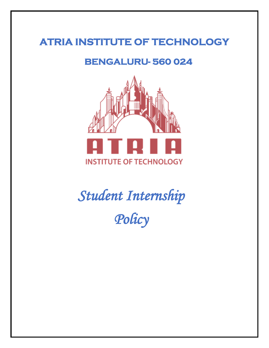# **ATRIA INSTITUTE OF TECHNOLOGY**

## **BENGALURU- 560 024**



*Student Internship Policy*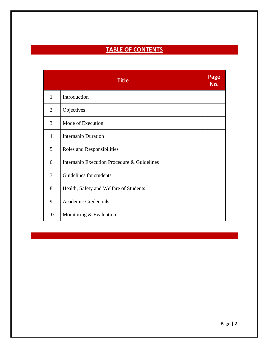## **TABLE OF CONTENTS**

| <b>Title</b> |                                             |  |
|--------------|---------------------------------------------|--|
| 1.           | Introduction                                |  |
| 2.           | Objectives                                  |  |
| 3.           | Mode of Execution                           |  |
| 4.           | <b>Internship Duration</b>                  |  |
| 5.           | Roles and Responsibilities                  |  |
| 6.           | Internship Execution Procedure & Guidelines |  |
| 7.           | Guidelines for students                     |  |
| 8.           | Health, Safety and Welfare of Students      |  |
| 9.           | <b>Academic Credentials</b>                 |  |
| 10.          | Monitoring & Evaluation                     |  |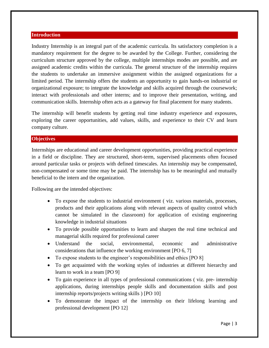#### **Introduction**

Industry Internship is an integral part of the academic curricula. Its satisfactory completion is a mandatory requirement for the degree to be awarded by the College. Further, considering the curriculum structure approved by the college, multiple internships modes are possible, and are assigned academic credits within the curricula. The general structure of the internship requires the students to undertake an immersive assignment within the assigned organizations for a limited period. The internship offers the students an opportunity to gain hands-on industrial or organizational exposure; to integrate the knowledge and skills acquired through the coursework; interact with professionals and other interns; and to improve their presentation, writing, and communication skills. Internship often acts as a gateway for final placement for many students.

The internship will benefit students by getting real time industry experience and exposures, exploring the career opportunities, add values, skills, and experience to their CV and learn company culture.

### **Objectives**

Internships are educational and career development opportunities, providing practical experience in a field or discipline. They are structured, short-term, supervised placements often focused around particular tasks or projects with defined timescales. An internship may be compensated, non-compensated or some time may be paid. The internship has to be meaningful and mutually beneficial to the intern and the organization.

Following are the intended objectives:

- To expose the students to industrial environment ( viz. various materials, processes, products and their applications along with relevant aspects of quality control which cannot be simulated in the classroom) for application of existing engineering knowledge in industrial situations
- To provide possible opportunities to learn and sharpen the real time technical and managerial skills required for professional career
- Understand the social, environmental, economic and administrative considerations that influence the working environment [PO 6, 7]
- To expose students to the engineer's responsibilities and ethics [PO 8]
- To get acquainted with the working styles of industries at different hierarchy and learn to work in a team [PO 9]
- To gain experience in all types of professional communications ( viz. pre- internship applications, during internships people skills and documentation skills and post internship reports/projects writing skills ) [PO 10]
- To demonstrate the impact of the internship on their lifelong learning and professional development [PO 12]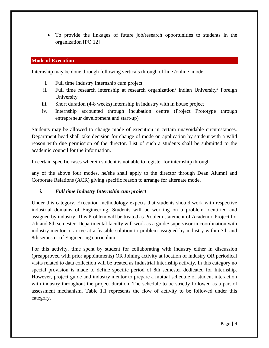To provide the linkages of future job/research opportunities to students in the organization [PO 12]

## **Mode of Execution**

Internship may be done through following verticals through offline /online mode

- i. Full time Industry Internship cum project
- ii. Full time research internship at research organization/ Indian University/ Foreign University
- iii. Short duration (4-8 weeks) internship in industry with in house project
- iv. Internship accounted through incubation centre (Project Prototype through entrepreneur development and start-up)

Students may be allowed to change mode of execution in certain unavoidable circumstances. Department head shall take decision for change of mode on application by student with a valid reason with due permission of the director. List of such a students shall be submitted to the academic council for the information.

In certain specific cases wherein student is not able to register for internship through

any of the above four modes, he/she shall apply to the director through Dean Alumni and Corporate Relations (ACR) giving specific reason to arrange for alternate mode.

## *i. Full time Industry Internship cum project*

Under this category, Execution methodology expects that students should work with respective industrial domains of Engineering. Students will be working on a problem identified and assigned by industry. This Problem will be treated as Problem statement of Academic Project for 7th and 8th semester. Departmental faculty will work as a guide/ supervisor in coordination with industry mentor to arrive at a feasible solution to problem assigned by industry within 7th and 8th semester of Engineering curriculum.

For this activity, time spent by student for collaborating with industry either in discussion (preapproved with prior appointments) OR Joining activity at location of industry OR periodical visits related to data collection will be treated as Industrial Internship activity. In this category no special provision is made to define specific period of 8th semester dedicated for Internship. However, project guide and industry mentor to prepare a mutual schedule of student interaction with industry throughout the project duration. The schedule to be strictly followed as a part of assessment mechanism. Table 1.1 represents the flow of activity to be followed under this category.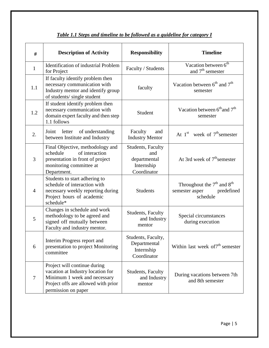| #              | <b>Description of Activity</b>                                                                                                                                  | <b>Responsibility</b>                                                        | <b>Timeline</b>                                                            |
|----------------|-----------------------------------------------------------------------------------------------------------------------------------------------------------------|------------------------------------------------------------------------------|----------------------------------------------------------------------------|
| $\mathbf{1}$   | <b>Identification of industrial Problem</b><br>for Project                                                                                                      | Faculty / Students                                                           | Vacation between 6 <sup>th</sup><br>and $7th$ semester                     |
| 1.1            | If faculty identify problem then<br>necessary communication with<br>Industry mentor and identify group<br>of students/ single student                           | faculty                                                                      | Vacation between $6^{\text{th}}$ and $7^{\text{th}}$<br>semester           |
| 1.2            | If student identify problem then<br>necessary communication with<br>domain expert faculty and then step<br>1.1 follows                                          | Student                                                                      | Vacation between 6 <sup>th</sup> and 7 <sup>th</sup><br>semester           |
| 2.             | of understanding<br>Joint<br>letter<br>between Institute and Industry                                                                                           | Faculty<br>and<br><b>Industry Mentor</b>                                     | At $1st$ week of $7th$ semester                                            |
| 3              | Final Objective, methodology and<br>of interaction<br>schedule<br>presentation in front of project<br>monitoring committee at<br>Department.                    | <b>Students, Faculty</b><br>and<br>departmental<br>Internship<br>Coordinator | At 3rd week of $7th$ semester                                              |
| $\overline{4}$ | Students to start adhering to<br>schedule of interaction with<br>necessary weekly reporting during<br>Project hours of academic<br>schedule*                    | <b>Students</b>                                                              | Throughout the $7th$ and $8th$<br>semester asper<br>predefined<br>schedule |
| 5              | Changes in schedule and work<br>methodology to be agreed and<br>signed off mutually between<br>Faculty and industry mentor.                                     | Students, Faculty<br>and Industry<br>mentor                                  | Special circumstances<br>during execution                                  |
| 6              | Interim Progress report and<br>presentation to project Monitoring<br>committee                                                                                  | Students, Faculty,<br>Departmental<br>Internship<br>Coordinator              | Within last week of $7th$ semester                                         |
| $\overline{7}$ | Project will continue during<br>vacation at Industry location for<br>Minimum 1 week and necessary<br>Project offs are allowed with prior<br>permission on paper | <b>Students, Faculty</b><br>and Industry<br>mentor                           | During vacations between 7th<br>and 8th semester                           |

## *Table 1.1 Steps and timeline to be followed as a guideline for category I*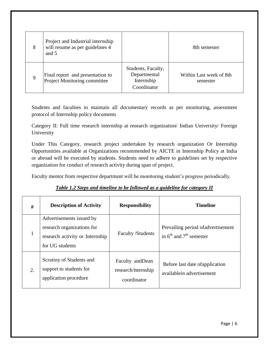| 8 | Project and Industrial internship<br>will resume as per guidelines 4<br>and 5 |                                                                 | 8th semester                        |
|---|-------------------------------------------------------------------------------|-----------------------------------------------------------------|-------------------------------------|
| 9 | Final report and presentation to<br>Project Monitoring committee              | Students, Faculty,<br>Departmental<br>Internship<br>Coordinator | Within Last week of 8th<br>semester |

Students and faculties to maintain all documentary records as per monitoring, assessment protocol of Internship policy documents

Category II: Full time research internship at research organization/ Indian University/ Foreign University

Under This Category, research project undertaken by research organization Or Internship Opportunities available at Organizations recommended by AICTE in Internship Policy at India or abroad will be executed by students. Students need to adhere to guidelines set by respective organization for conduct of research activity during span of project.

Faculty mentor from respective department will be monitoring student's progress periodically.

## *Table 1.2 Steps and timeline to be followed as a guideline for category II*

| #            | <b>Description of Activity</b>                                                                               | <b>Responsibility</b>                                  | <b>Timeline</b>                                                         |
|--------------|--------------------------------------------------------------------------------------------------------------|--------------------------------------------------------|-------------------------------------------------------------------------|
| $\mathbf{1}$ | Advertisements issued by<br>research organizations for<br>research activity or Internship<br>for UG students | <b>Faculty /Students</b>                               | Prevailing period of advertisement<br>in $6^{th}$ and $7^{th}$ semester |
| 2.           | Scrutiny of Students and<br>support to students for<br>application procedure                                 | Faculty and Dean<br>research/internship<br>coordinator | Before last date of application<br>availablein advertisement            |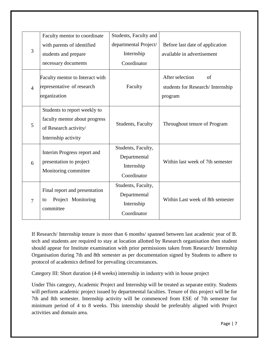| 3              | Faculty mentor to coordinate<br>with parents of identified<br>students and prepare<br>necessary documents     | Students, Faculty and<br>departmental Project/<br>Internship<br>Coordinator | Before last date of application<br>available in advertisement        |
|----------------|---------------------------------------------------------------------------------------------------------------|-----------------------------------------------------------------------------|----------------------------------------------------------------------|
| $\overline{4}$ | Faculty mentor to Interact with<br>representative of research<br>organization                                 | Faculty                                                                     | After selection<br>of<br>students for Research/Internship<br>program |
| 5              | Students to report weekly to<br>faculty mentor about progress<br>of Research activity/<br>Internship activity | <b>Students, Faculty</b>                                                    | Throughout tenure of Program                                         |
| 6              | Interim Progress report and<br>presentation to project<br>Monitoring committee                                | Students, Faculty,<br>Departmental<br>Internship<br>Coordinator             | Within last week of 7th semester                                     |
| $\overline{7}$ | Final report and presentation<br>Project Monitoring<br>to<br>committee                                        | Students, Faculty,<br>Departmental<br>Internship<br>Coordinator             | Within Last week of 8th semester                                     |

If Research/ Internship tenure is more than 6 months/ spanned between last academic year of B. tech and students are required to stay at location allotted by Research organisation then student should appear for Institute examination with prior permissions taken from Research/ Internship Organisation during 7th and 8th semester as per documentation signed by Students to adhere to protocol of academics defined for prevailing circumstances.

Category III: Short duration (4-8 weeks) internship in industry with in house project

Under This category, Academic Project and Internship will be treated as separate entity. Students will perform academic project issued by departmental faculties. Tenure of this project will be for 7th and 8th semester. Internship activity will be commenced from ESE of 7th semester for minimum period of 4 to 8 weeks. This internship should be preferably aligned with Project activities and domain area.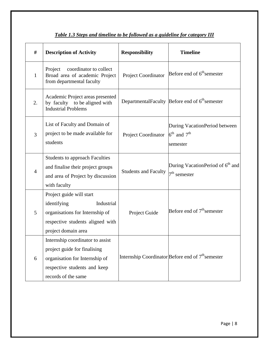| #              | <b>Description of Activity</b>                                                                                                                            | <b>Responsibility</b>       | <b>Timeline</b>                                                                  |
|----------------|-----------------------------------------------------------------------------------------------------------------------------------------------------------|-----------------------------|----------------------------------------------------------------------------------|
| $\mathbf{1}$   | coordinator to collect<br>Project<br>Broad area of academic Project<br>from departmental faculty                                                          | Project Coordinator         | Before end of 6 <sup>th</sup> semester                                           |
| 2.             | Academic Project areas presented<br>by faculty to be aligned with<br><b>Industrial Problems</b>                                                           |                             | DepartmentalFaculty Before end of 6 <sup>th</sup> semester                       |
| 3              | List of Faculty and Domain of<br>project to be made available for<br>students                                                                             | <b>Project Coordinator</b>  | During VacationPeriod between<br>$6^{\text{th}}$ and $7^{\text{th}}$<br>semester |
| $\overline{4}$ | <b>Students to approach Faculties</b><br>and finalise their project groups<br>and area of Project by discussion<br>with faculty                           | <b>Students and Faculty</b> | During VacationPeriod of 6 <sup>th</sup> and<br>$7th$ semester                   |
| 5              | Project guide will start<br>identifying<br>Industrial<br>organisations for Internship of<br>respective students aligned with<br>project domain area       | Project Guide               | Before end of 7 <sup>th</sup> semester                                           |
| 6              | Internship coordinator to assist<br>project guide for finalising<br>organisation for Internship of<br>respective students and keep<br>records of the same |                             | Internship Coordinator Before end of 7 <sup>th</sup> semester                    |

## *Table 1.3 Steps and timeline to be followed as a guideline for category III*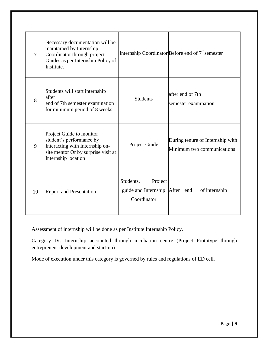| $\overline{7}$ | Necessary documentation will be<br>maintained by Internship<br>Coordinator through project<br>Guides as per Internship Policy of<br>Institute.        |                                                                       | Internship Coordinator Before end of 7 <sup>th</sup> semester  |
|----------------|-------------------------------------------------------------------------------------------------------------------------------------------------------|-----------------------------------------------------------------------|----------------------------------------------------------------|
| 8              | Students will start internship<br>after<br>end of 7th semester examination<br>for minimum period of 8 weeks                                           | <b>Students</b>                                                       | after end of 7th<br>semester examination                       |
| 9              | Project Guide to monitor<br>student's performance by<br>Interacting with Internship on-<br>site mentor Or by surprise visit at<br>Internship location | Project Guide                                                         | During tenure of Internship with<br>Minimum two communications |
| 10             | <b>Report and Presentation</b>                                                                                                                        | Project<br>Students,<br>guide and Internship After end<br>Coordinator | of internship                                                  |

Assessment of internship will be done as per Institute Internship Policy.

Category IV: Internship accounted through incubation centre (Project Prototype through entrepreneur development and start-up)

Mode of execution under this category is governed by rules and regulations of ED cell.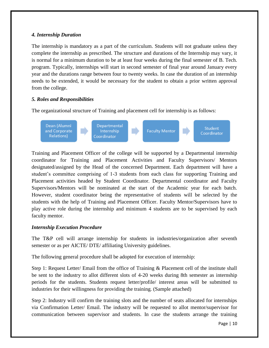## *4. Internship Duration*

The internship is mandatory as a part of the curriculum. Students will not graduate unless they complete the internship as prescribed. The structure and durations of the Internship may vary, it is normal for a minimum duration to be at least four weeks during the final semester of B. Tech. program. Typically, internships will start in second semester of final year around January every year and the durations range between four to twenty weeks. In case the duration of an internship needs to be extended, it would be necessary for the student to obtain a prior written approval from the college.

## *5. Roles and Responsibilities*

The organizational structure of Training and placement cell for internship is as follows:



Training and Placement Officer of the college will be supported by a Departmental internship coordinator for Training and Placement Activities and Faculty Supervisors/ Mentors designated/assigned by the Head of the concerned Department. Each department will have a student's committee comprising of 1-3 students from each class for supporting Training and Placement activities headed by Student Coordinator. Departmental coordinator and Faculty Supervisors/Mentors will be nominated at the start of the Academic year for each batch. However, student coordinator being the representative of students will be selected by the students with the help of Training and Placement Officer. Faculty Mentor/Supervisors have to play active role during the internship and minimum 4 students are to be supervised by each faculty mentor.

## *Internship Execution Procedure*

The T&P cell will arrange internship for students in industries/organization after seventh semester or as per AICTE/ DTE/ affiliating University guidelines.

The following general procedure shall be adopted for execution of internship:

Step 1: Request Letter/ Email from the office of Training & Placement cell of the institute shall be sent to the industry to allot different slots of 4-20 weeks during 8th semester as internship periods for the students. Students request letter/profile/ interest areas will be submitted to industries for their willingness for providing the training. (Sample attached)

Step 2: Industry will confirm the training slots and the number of seats allocated for internships via Confirmation Letter/ Email. The industry will be requested to allot mentor/supervisor for communication between supervisor and students. In case the students arrange the training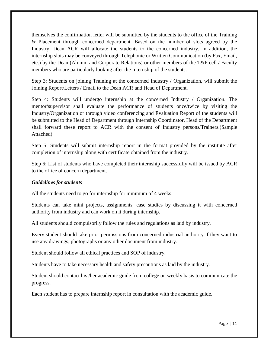themselves the confirmation letter will be submitted by the students to the office of the Training & Placement through concerned department. Based on the number of slots agreed by the Industry, Dean ACR will allocate the students to the concerned industry. In addition, the internship slots may be conveyed through Telephonic or Written Communication (by Fax, Email, etc.) by the Dean (Alumni and Corporate Relations) or other members of the T&P cell / Faculty members who are particularly looking after the Internship of the students.

Step 3: Students on joining Training at the concerned Industry / Organization, will submit the Joining Report/Letters / Email to the Dean ACR and Head of Department.

Step 4: Students will undergo internship at the concerned Industry / Organization. The mentor/supervisor shall evaluate the performance of students once/twice by visiting the Industry/Organization or through video conferencing and Evaluation Report of the students will be submitted to the Head of Department through Internship Coordinator. Head of the Department shall forward these report to ACR with the consent of Industry persons/Trainers.(Sample Attached)

Step 5: Students will submit internship report in the format provided by the institute after completion of internship along with certificate obtained from the industry.

Step 6: List of students who have completed their internship successfully will be issued by ACR to the office of concern department.

### *Guidelines for students*

All the students need to go for internship for minimum of 4 weeks.

Students can take mini projects, assignments, case studies by discussing it with concerned authority from industry and can work on it during internship.

All students should compulsorily follow the rules and regulations as laid by industry.

Every student should take prior permissions from concerned industrial authority if they want to use any drawings, photographs or any other document from industry.

Student should follow all ethical practices and SOP of industry.

Students have to take necessary health and safety precautions as laid by the industry.

Student should contact his /her academic guide from college on weekly basis to communicate the progress.

Each student has to prepare internship report in consultation with the academic guide.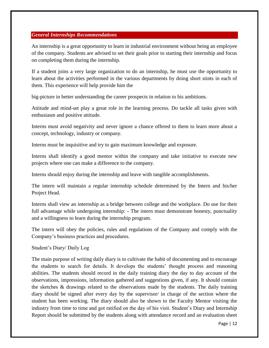### *General Internships Recommendations*

An internship is a great opportunity to learn in industrial environment without being an employee of the company. Students are advised to set their goals prior to starting their internship and focus on completing them during the internship.

If a student joins a very large organization to do an internship, he must use the opportunity to learn about the activities performed in the various departments by doing short stints in each of them. This experience will help provide him the

big-picture in better understanding the career prospects in relation to his ambitions.

Attitude and mind-set play a great role in the learning process. Do tackle all tasks given with enthusiasm and positive attitude.

Interns must avoid negativity and never ignore a chance offered to them to learn more about a concept, technology, industry or company.

Interns must be inquisitive and try to gain maximum knowledge and exposure.

Interns shall identify a good mentor within the company and take initiative to execute new projects where one can make a difference to the company.

Interns should enjoy during the internship and leave with tangible accomplishments.

The intern will maintain a regular internship schedule determined by the Intern and his/her Project Head.

Interns shall view an internship as a bridge between college and the workplace. Do use for their full advantage while undergoing internship: - The intern must demonstrate honesty, punctuality and a willingness to learn during the internship program.

The intern will obey the policies, rules and regulations of the Company and comply with the Company's business practices and procedures.

Student's Diary/ Daily Log

The main purpose of writing daily diary is to cultivate the habit of documenting and to encourage the students to search for details. It develops the students' thought process and reasoning abilities. The students should record in the daily training diary the day to day account of the observations, impressions, information gathered and suggestions given, if any. It should contain the sketches & drawings related to the observations made by the students. The daily training diary should be signed after every day by the supervisor/ in charge of the section where the student has been working. The diary should also be shown to the Faculty Mentor visiting the industry from time to time and got ratified on the day of his visit. Student's Diary and Internship Report should be submitted by the students along with attendance record and an evaluation sheet